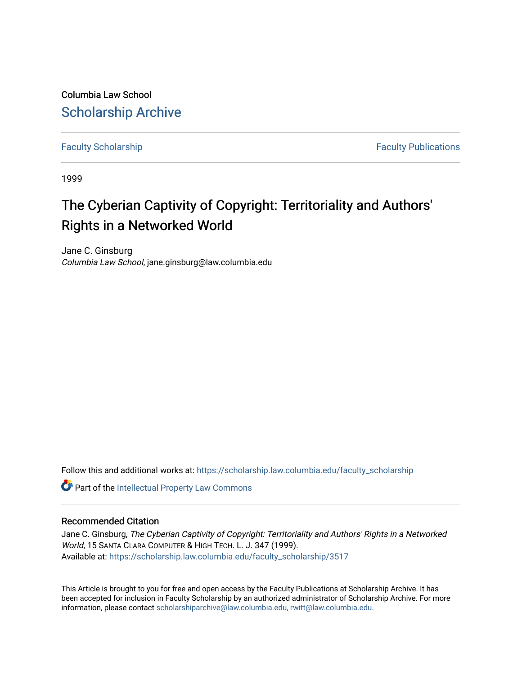Columbia Law School [Scholarship Archive](https://scholarship.law.columbia.edu/) 

[Faculty Scholarship](https://scholarship.law.columbia.edu/faculty_scholarship) **Faculty Scholarship Faculty Publications** 

1999

# The Cyberian Captivity of Copyright: Territoriality and Authors' Rights in a Networked World

Jane C. Ginsburg Columbia Law School, jane.ginsburg@law.columbia.edu

Follow this and additional works at: [https://scholarship.law.columbia.edu/faculty\\_scholarship](https://scholarship.law.columbia.edu/faculty_scholarship?utm_source=scholarship.law.columbia.edu%2Ffaculty_scholarship%2F3517&utm_medium=PDF&utm_campaign=PDFCoverPages)

Part of the [Intellectual Property Law Commons](https://network.bepress.com/hgg/discipline/896?utm_source=scholarship.law.columbia.edu%2Ffaculty_scholarship%2F3517&utm_medium=PDF&utm_campaign=PDFCoverPages) 

### Recommended Citation

Jane C. Ginsburg, The Cyberian Captivity of Copyright: Territoriality and Authors' Rights in a Networked World, 15 SANTA CLARA COMPUTER & HIGH TECH. L. J. 347 (1999). Available at: [https://scholarship.law.columbia.edu/faculty\\_scholarship/3517](https://scholarship.law.columbia.edu/faculty_scholarship/3517?utm_source=scholarship.law.columbia.edu%2Ffaculty_scholarship%2F3517&utm_medium=PDF&utm_campaign=PDFCoverPages)

This Article is brought to you for free and open access by the Faculty Publications at Scholarship Archive. It has been accepted for inclusion in Faculty Scholarship by an authorized administrator of Scholarship Archive. For more information, please contact [scholarshiparchive@law.columbia.edu, rwitt@law.columbia.edu](mailto:scholarshiparchive@law.columbia.edu,%20rwitt@law.columbia.edu).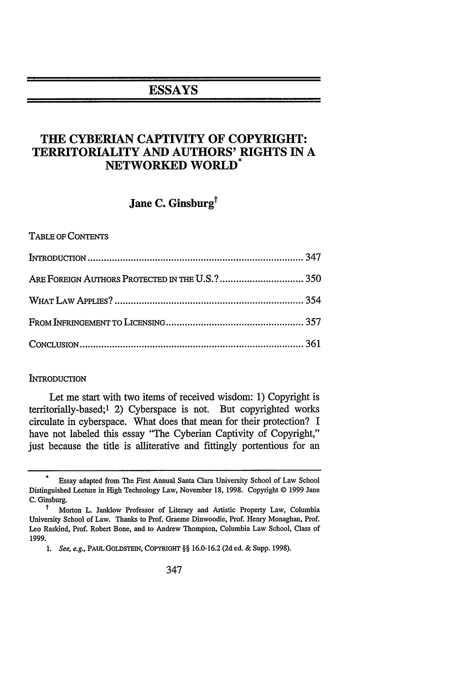## **ESSAYS**

## **THE CYBERIAN CAPTIVITY OF COPYRIGHT: TERRITORIALITY AND AUTHORS' RIGHTS IN A NETWORKED WORLD\***

## Jane C. Ginsburg<sup>†</sup>

TABLE OF CONTENTS

#### **INTRODUCTION**

Let me start with two items of received wisdom: 1) Copyright is territorially-based;' 2) Cyberspace is not. But copyrighted works circulate in cyberspace. What does that mean for their protection? I have not labeled this essay "The Cyberian Captivity of Copyright," just because the title is alliterative and fittingly portentious for an

Essay adapted from The First Annual Santa Clara University School of Law School Distinguished Lecture in High Technology Law, November 18, 1998. Copyright © 1999 Jane C. Ginsburg.

t Morton L. Janklow Professor of Literary and Artistic Property Law, Columbia University School of Law. Thanks to Prof. Graeme Dinwoodie, Prof. Henry Monaghan, Prof. Leo Raskind, Prof. Robert Bone, and to Andrew Thompson, Columbia Law School, Class of 1999.

*<sup>1.</sup>* See, e.g., PAUL GOLDSTEIN, COPYRIGHT §§ 16.0-16.2 (2d ed. & Supp. 1998).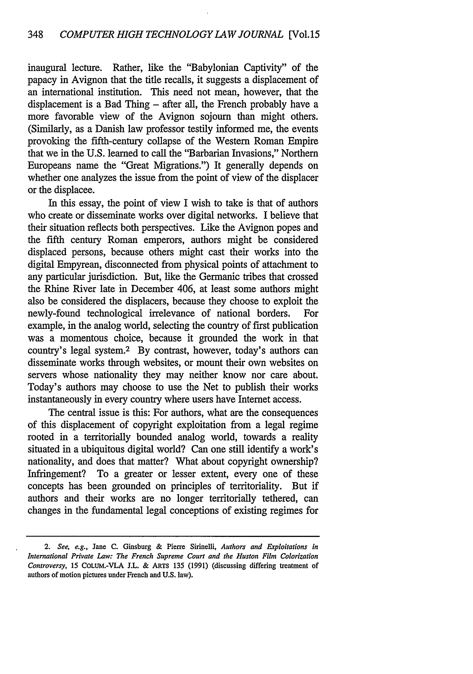inaugural lecture. Rather, like the "Babylonian Captivity" of the papacy in Avignon that the title recalls, it suggests a displacement of an international institution. This need not mean, however, that the displacement is a Bad Thing  $-$  after all, the French probably have a more favorable view of the Avignon sojourn than might others. (Similarly, as a Danish law professor testily informed me, the events provoking the fifth-century collapse of the Western Roman Empire that we in the U.S. learned to call the "Barbarian Invasions," Northern Europeans name the "Great Migrations.") It generally depends on whether one analyzes the issue from the point of view of the displacer or the displacee.

In this essay, the point of view I wish to take is that of authors who create or disseminate works over digital networks. I believe that their situation reflects both perspectives. Like the Avignon popes and the fifth century Roman emperors, authors might be considered displaced persons, because others might cast their works into the digital Empyrean, disconnected from physical points of attachment to any particular jurisdiction. But, like the Germanic tribes that crossed the Rhine River late in December 406, at least some authors might also be considered the displacers, because they choose to exploit the newly-found technological irrelevance of national borders. For example, in the analog world, selecting the country of first publication was a momentous choice, because it grounded the work in that country's legal system.2 By contrast, however, today's authors can disseminate works through websites, or mount their own websites on servers whose nationality they may neither know nor care about. Today's authors may choose to use the Net to publish their works instantaneously in every country where users have Internet access.

The central issue is this: For authors, what are the consequences of this displacement of copyright exploitation from a legal regime rooted in a territorially bounded analog world, towards a reality situated in a ubiquitous digital world? Can one still identify a work's nationality, and does that matter? What about copyright ownership? Infringement? To a greater or lesser extent, every one of these concepts has been grounded on principles of territoriality. But if authors and their works are no longer territorially tethered, can changes in the fundamental legal conceptions of existing regimes for

*<sup>2.</sup> See, e.g.,* Jane **C.** Ginsburg **&** Pierre Sirinelli, *Authors and Exploitations in International Private Law: The French Supreme Court and the Huston Film Colorization Controversy,* **15** COLum.-VLA **J.L. &** ARTS **135 (1991)** (discussing differing treatment of authors of motion pictures under French and **U.S.** law).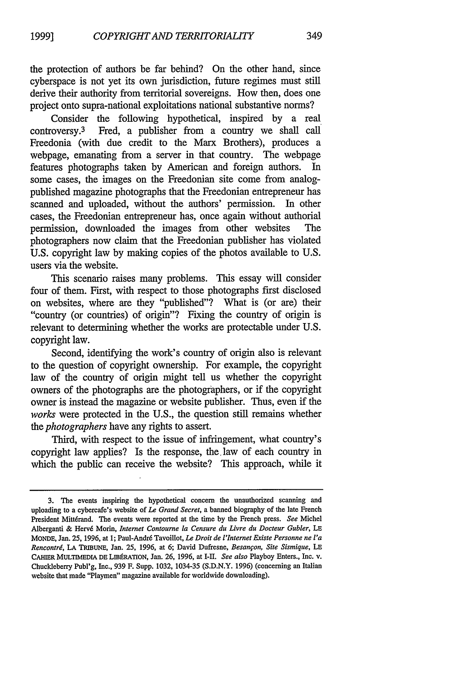the protection of authors be far behind? On the other hand, since cyberspace is not yet its own jurisdiction, future regimes must still derive their authority from territorial sovereigns. How then, does one project onto supra-national exploitations national substantive norms?

Consider the following hypothetical, inspired by a real controversy.<sup>3</sup> Fred, a publisher from a country we shall call Freedonia (with due credit to the Marx Brothers), produces a webpage, emanating from a server in that country. The webpage features photographs taken by American and foreign authors. In some cases, the images on the Freedonian site come from analogpublished magazine photographs that the Freedonian entrepreneur has scanned and uploaded, without the authors' permission. In other cases, the Freedonian entrepreneur has, once again without authorial permission, downloaded the images from other websites The photographers now claim that the Freedonian publisher has violated U.S. copyright law by making copies of the photos available to U.S. users via the website.

This scenario raises many problems. This essay will consider four of them. First, with respect to those photographs first disclosed on websites, where are they "published"? What is (or are) their "country (or countries) of origin"? Fixing the country of origin is relevant to determining whether the works are protectable under U.S. copyright law.

Second, identifying the work's country of origin also is relevant to the question of copyright ownership. For example, the copyright law of the country of origin might tell us whether the copyright owners of the photographs are the photographers, or if the copyright owner is instead the magazine or website publisher. Thus, even if the *works* were protected in the U.S., the question still remains whether *the photographers* have any rights to assert.

Third, with respect to the issue of infringement, what country's copyright law applies? Is the response, the. law of each country in which the public can receive the website? This approach, while it

**<sup>3.</sup> The** events inspiring the hypothetical concern the unauthorized scanning and uploading to a cybercafe's website of *Le Grand Secret,* a banned biography of the late French President Mittdrand. **The** events were reported at the time **by** the French press. *See* Michel Alberganti **&** Herv6 Morin, *Internet Contourne la Censure du Livre du Docteur Gubler, LE* MONDE, Jan. **25, 1996,** at **1;** Paul-Andr6 Tavoillot, *Le Droit de l'Internet Existe Personne ne Pa Rencontri,* **LA** TRIBUNE, Jan. **25, 1996,** at **6;** David Dufresne, *Besanfon, Site Sismique, LE* CAHIER MULTIMEDIA DE LIBÉRATION, Jan. 26, 1996, at I-II. See also Playboy Enters., Inc. v. Chuckleberry Publ'g, Inc., **939** F. Supp. **1032,** 1034-35 **(S.D.N.Y. 1996)** (concerning an Italian website that made "Playmen" magazine available for worldwide downloading).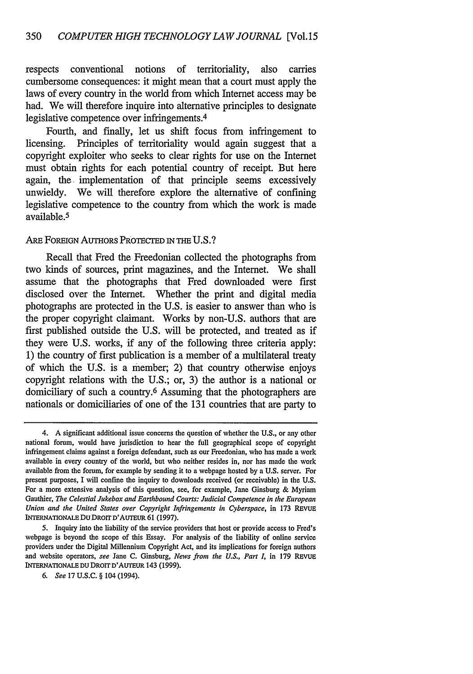respects conventional notions of territoriality, also carries cumbersome consequences: it might mean that a court must apply the laws of every country in the world from which Internet access may be had. We will therefore inquire into alternative principles to designate legislative competence over infringements.<sup>4</sup>

Fourth, and finally, let us shift focus from infringement to licensing. Principles of territoriality would again suggest that a copyright exploiter who seeks to clear rights for use on the Internet must obtain rights for each potential country of receipt. But here again, the implementation of that principle seems excessively unwieldy. We will therefore explore the alternative of confining legislative competence to the country from which the work is made available. <sup>5</sup>

#### ARE FOREIGN AUTHORS PROTECTED IN THE U.S.?

Recall that Fred the Freedonian collected the photographs from two kinds of sources, print magazines, and the Internet. We shall assume that the photographs that Fred downloaded were first disclosed over the Internet. Whether the print and digital media photographs are protected in the U.S. is easier to answer than who is the proper copyright claimant. Works by non-U.S. authors that are first published outside the U.S. will be protected, and treated as if they were U.S. works, if any of the following three criteria apply: **1)** the country of first publication is a member of a multilateral treaty of which the U.S. is a member; 2) that country otherwise enjoys copyright relations with the U.S.; or, 3) the author is a national or domiciliary of such a country.<sup>6</sup> Assuming that the photographers are nationals or domiciliaries of one of the 131 countries that are party to

<sup>4.</sup> A significant additional issue concerns the question of whether the U.S., or any other national forum, would have jurisdiction to hear the full geographical scope of copyright infringement claims against a foreign defendant, such as our Freedonian, who has made a work available in every country of the world, but who neither resides in, nor has made the work available from the forum, for example by sending it to a webpage hosted by a U.S. server. For present purposes, I will confine the inquiry to downloads received (or receivable) in the U.S. For a more extensive analysis of this question, see, for example, Jane Ginsburg & Myriam Gauthier, *The Celestial Jukebox and Earthbound Courts: Judicial Competence in the European Union and the United States over Copyright Infringements in Cyberspace,* in 173 REVUE INTERNATIoNALE Du DRorr D'AUTEuR 61 (1997).

<sup>5.</sup> Inquiry into the liability of the service providers that host or provide access to Fred's webpage is beyond the scope of this Essay. For analysis of the liability of online service providers under the Digital Millennium Copyright Act, and its implications for foreign authors and website operators, *see* Jane C. Ginsburg, *News from the U.S., Part I,* in 179 REVUE INTERNATIONALE DU DROIT D'AuTEUR 143 (1999).

*<sup>6.</sup> See* 17 U.S.C. § 104 (1994).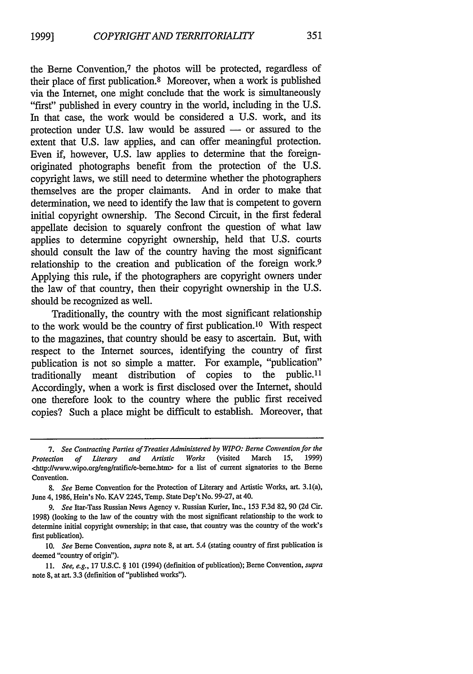the Berne Convention,7 the photos will be protected, regardless of their place of first publication. 8 Moreover, when a work is published via the Internet, one might conclude that the work is simultaneously "first" published in every country in the world, including in the U.S. In that case, the work would be considered a U.S. work, and its protection under U.S. law would be assured - or assured to the extent that U.S. law applies, and can offer meaningful protection. Even if, however, U.S. law applies to determine that the foreignoriginated photographs benefit from the protection of the U.S. copyright laws, we still need to determine whether the photographers themselves are the proper claimants. And in order to make that determination, we need to identify the law that is competent to govern initial copyright ownership. The Second Circuit, in the first federal appellate decision to squarely confront the question of what law applies to determine copyright ownership, held that U.S. courts should consult the law of the country having the most significant relationship to the creation and publication of the foreign work.<sup>9</sup> Applying this rule, if the photographers are copyright owners under the law of that country, then their copyright ownership in the U.S. should be recognized as well.

Traditionally, the country with the most significant relationship to the work would be the country of first publication.10 With respect to the magazines, that country should be easy to ascertain. But, with respect to the Internet sources, identifying the country of first publication is not so simple a matter. For example, "publication" traditionally meant distribution of copies to the public.11 Accordingly, when a work is first disclosed over the Internet, should one therefore look to the country where the public first received copies? Such a place might be difficult to establish. Moreover, that

**<sup>7.</sup>** *See Contracting Parties of Treaties Administered by WIPO: Berne Convention for the* Protection of Literary and Artistic Works (visited March <http://www.wipo.orglenglratific/e-berne.htm> for a list of current signatories to the Berne Convention.

*<sup>8.</sup> See* Berne Convention for the Protection of Literary and Artistic Works, art. 3.1(a), June 4, **1986,** Hein's No. KAV 2245, Temp. State Dep't No. **99-27,** at 40.

*<sup>9.</sup> See* Itar-Tass Russian News Agency v. Russian Kurier, Inc., **153 F.3d 82, 90 (2d** Cir. **1998)** (looking to the law of the country with the most significant relationship to the work to determine initial copyright ownership; in that case, that country was the country of the work's first publication).

**<sup>10.</sup>** *See* Berne Convention, *supra* note **8,** at art. 5.4 (stating country of first publication is deemed "country of origin").

**<sup>11.</sup>** *See, e.g.,* **17 U.S.C.** § **101** (1994) (definition of publication); Berne Convention, *supra* note **8,** at art. **3.3** (definition of "published works").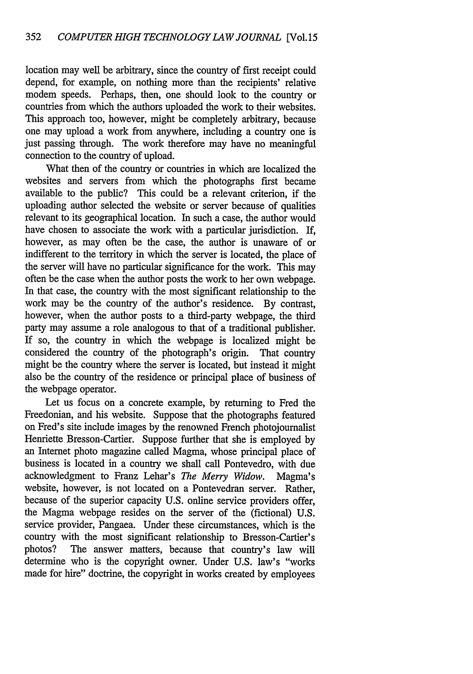location may well be arbitrary, since the country of first receipt could depend, for example, on nothing more than the recipients' relative modem speeds. Perhaps, then, one should look to the country or countries from which the authors uploaded the work to their websites. This approach too, however, might be completely arbitrary, because one may upload a work from anywhere, including a country one is just passing through. The work therefore may have no meaningful connection to the country of upload.

What then of the country or countries in which are localized the websites and servers from which the photographs first became available to the public? This could be a relevant criterion, if the uploading author selected the website or server because of qualities relevant to its geographical location. In such a case, the author would have chosen to associate the work with a particular jurisdiction. If, however, as may often be the case, the author is unaware of or indifferent to the territory in which the server is located, the place of the server will have no particular significance for the work. This may often be the case when the author posts the work to her own webpage. In that case, the country with the most significant relationship to the work may be the country of the author's residence. By contrast, however, when the author posts to a third-party webpage, the third party may assume a role analogous to that of a traditional publisher. If so, the country in which the webpage is localized might be considered the country of the photograph's origin. That country might be the country where the server is located, but instead it might also be the country of the residence or principal place of business of the webpage operator.

Let us focus on a concrete example, by returning to Fred the Freedonian, and his website. Suppose that the photographs featured on Fred's site include images by the renowned French photojournalist Henriette Bresson-Cartier. Suppose further that she is employed by an Internet photo magazine called Magma, whose principal place of business is located in a country we shall call Pontevedro, with due acknowledgment to Franz Lehar's *The Merry Widow.* Magma's website, however, is not located on a Pontevedran server. Rather, because of the superior capacity U.S. online service providers offer, the Magma webpage resides on the server of the (fictional) U.S. service provider, Pangaea. Under these circumstances, which is the country with the most significant relationship to Bresson-Cartier's photos? The answer matters, because that country's law will determine who is the copyright owner. Under U.S. law's "works made for hire" doctrine, the copyright in works created by employees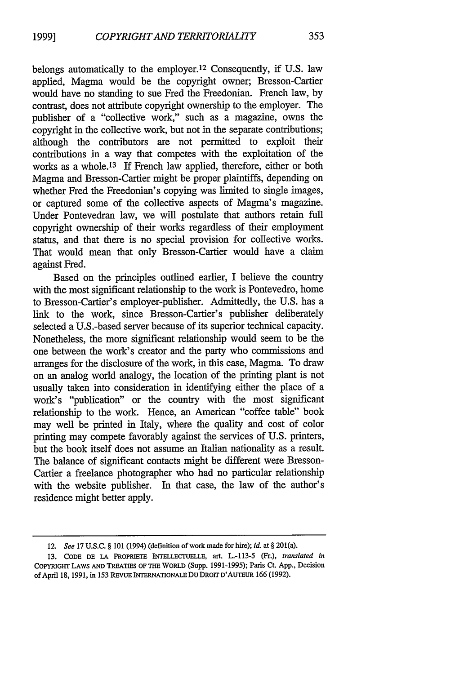353

belongs automatically to the employer.<sup>12</sup> Consequently, if U.S. law applied, Magma would be the copyright owner; Bresson-Cartier would have no standing to sue Fred the Freedonian. French law, by contrast, does not attribute copyright ownership to the employer. The publisher of a "collective work," such as a magazine, owns the copyright in the collective work, but not in the separate contributions; although the contributors are not permitted to exploit their contributions in a way that competes with the exploitation of the works as a whole.<sup>13</sup> If French law applied, therefore, either or both Magma and Bresson-Cartier might be proper plaintiffs, depending on whether Fred the Freedonian's copying was limited to single images, or captured some of the collective aspects of Magma's magazine. Under Pontevedran law, we will postulate that authors retain full copyright ownership of their works regardless of their employment status, and that there is no special provision for collective works. That would mean that only Bresson-Cartier would have a claim against Fred.

Based on the principles outlined earlier, I believe the country with the most significant relationship to the work is Pontevedro, home to Bresson-Cartier's employer-publisher. Admittedly, the U.S. has a link to the work, since Bresson-Cartier's publisher deliberately selected a U.S.-based server because of its superior technical capacity. Nonetheless, the more significant relationship would seem to be the one between the work's creator and the party who commissions and arranges for the disclosure of the work, in this case, Magma. To draw on an analog world analogy, the location of the printing plant is not usually taken into consideration in identifying either the place of a work's "publication" or the country with the most significant relationship to the work. Hence, an American "coffee table" book may well be printed in Italy, where the quality and cost of color printing may compete favorably against the services of U.S. printers, but the book itself does not assume an Italian nationality as a result. The balance of significant contacts might be different were Bresson-Cartier a freelance photographer who had no particular relationship with the website publisher. In that case, the law of the author's residence might better apply.

<sup>12.</sup> *See* **17** U.S.C. § **101** (1994) (definition of work made for hire); *id.* at § 201(a).

**<sup>13.</sup> CODE DE LA PROPRIETE** INTELLECTUELLE, art. **L.-113-5** (Fr.), *translated in* **COPYRIGHT LAWS AND** TREATIES **OF** THE WORLD **(Supp. 1991-1995); Paris** Ct. **App.,** Decision of April **18, 1991,** in **153** REvuE INTERNATIONALE **DU DROrT** D'AuTEUR **166 (1992).**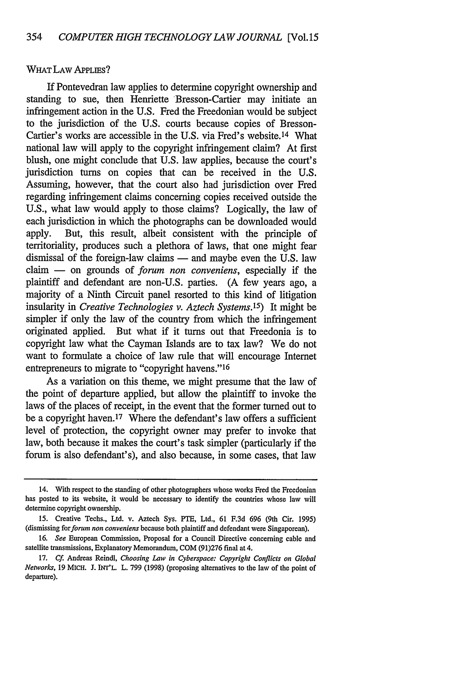#### WHAT LAW APPLIES?

If Pontevedran law applies to determine copyright ownership and standing to sue, then Henriette Bresson-Cartier may initiate an infringement action in the U.S. Fred the Freedonian would be subject to the jurisdiction of the U.S. courts because copies of Bresson-Cartier's works are accessible in the U.S. via Fred's website.14 What national law will apply to the copyright infringement claim? At first blush, one might conclude that U.S. law applies, because the court's jurisdiction turns on copies that can be received in the U.S. Assuming, however, that the court also had jurisdiction over Fred regarding infringement claims concerning copies received outside the U.S., what law would apply to those claims? Logically, the law of each jurisdiction in which the photographs can be downloaded would apply. But, this result, albeit consistent with the principle of territoriality, produces such a plethora of laws, that one might fear dismissal of the foreign-law claims  $-$  and maybe even the U.S. law claim - on grounds of *forum non conveniens,* especially if the plaintiff and defendant are non-U.S. parties. (A few years ago, a majority of a Ninth Circuit panel resorted to this kind of litigation insularity in *Creative Technologies v. Aztech Systems. 15)* It might be simpler if only the law of the country from which the infringement originated applied. But what if it turns out that Freedonia is to copyright law what the Cayman Islands are to tax law? We do not want to formulate a choice of law rule that will encourage Internet entrepreneurs to migrate to "copyright havens."<sup>16</sup>

As a variation on this theme, we might presume that the law of the point of departure applied, but allow the plaintiff to invoke the laws of the places of receipt, in the event that the former turned out to be a copyright haven.<sup>17</sup> Where the defendant's law offers a sufficient level of protection, the copyright owner may prefer to invoke that law, both because it makes the court's task simpler (particularly if the forum is also defendant's), and also because, in some cases, that law

<sup>14.</sup> With respect to the standing of other photographers whose works Fred the Freedonian has posted to its website, it would be necessary to identify the countries whose law will determine copyright ownership.

**<sup>15.</sup>** Creative Techs., Ltd. v. Aztech Sys. PTE, Ltd., **61 F.3d 696** (9th Cir. **1995)** (dismissing for *forum non conveniens* because both plaintiff and defendant were Singaporean).

**<sup>16.</sup>** *See* European Commission, Proposal for a Council Directive concerning cable and satellite transmissions, Explanatory Memorandum, **COM (91)276** final at 4.

**<sup>17.</sup> Cf.** Andreas Reindl, *Choosing Law in Cyberspace: Copyright Conflicts on Global Networks,* **19** MicH. J. INT'L. L. **799 (1998)** (proposing alternatives to the law of the point of departure).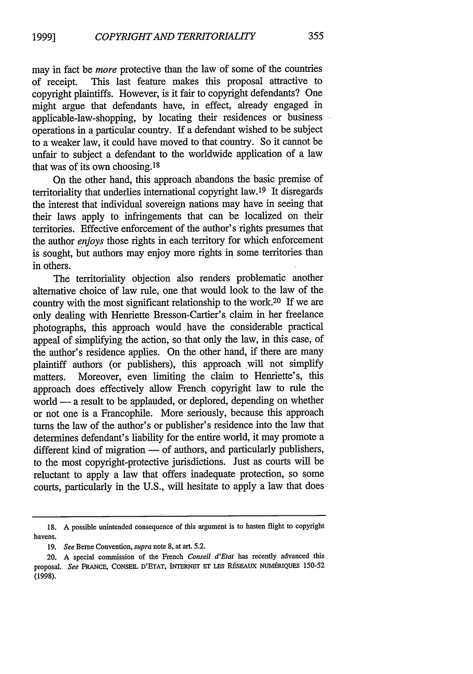may in fact be *more* protective than the law of some of the countries of receipt. This last feature makes this proposal attractive to copyright plaintiffs. However, is it fair to copyright defendants? One might argue that defendants have, in effect, already engaged in applicable-law-shopping, by locating their residences or business operations in a particular country. If a defendant wished to be subject to a weaker law, it could have moved to that country. So it cannot be unfair to subject a defendant to the worldwide application of a law that was of its own choosing. <sup>18</sup>

On the other hand, this approach abandons the basic premise of territoriality that underlies international copyright law.19 It disregards the interest that individual sovereign nations may have in seeing that their laws apply to infringements that can be localized on their territories. Effective enforcement of the author's rights presumes that the author *enjoys* those rights in each territory for which enforcement is sought, but authors may enjoy more rights in some territories than in others.

The territoriality objection also renders problematic another alternative choice of law rule, one that would look to the law of the country with the most significant relationship to the work.20 If we are only dealing with Henriette Bresson-Cartier's claim in her freelance photographs, this approach would have the considerable practical appeal of simplifying the action, so that only the law, in this case, of the author's residence applies. On the other hand, if there are many plaintiff authors (or publishers), this approach will not simplify matters. Moreover, even limiting the claim to Henriette's, this approach does effectively allow French copyright law to rule the world — a result to be applauded, or deplored, depending on whether or not one is a Francophile. More seriously, because this approach turns the law of the author's or publisher's residence into the law that determines defendant's liability for the entire world, it may promote a different kind of migration  $-$  of authors, and particularly publishers, to the most copyright-protective jurisdictions. Just as courts will be reluctant to apply a law that offers inadequate protection, so some courts, particularly in the U.S., will hesitate to apply a law that does

**<sup>18.</sup> A** possible unintended consequence of this argument is to hasten flight to copyright havens.

**<sup>19.</sup>** *See* Berne Convention, *supra* note **8,** at art. **5.2.**

<sup>20.</sup> **A** special commission of the French *Conseil d'Etat* has recently advanced this proposal. See FRANCE, CONSEIL D'ETAT, INTERNET ET LES RÉSEAUX NUMÉRIQUES 150-52 **(1998).**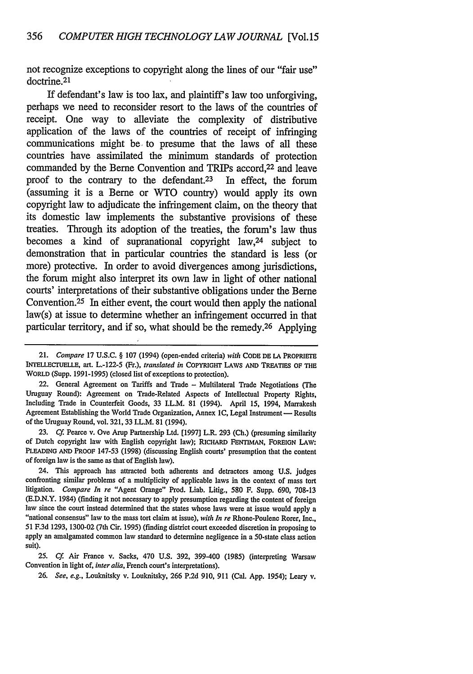not recognize exceptions to copyright along the lines of our "fair use" doctrine.<sup>21</sup>

If defendant's law is too lax, and plaintiff's law too unforgiving, perhaps we need to reconsider resort to the laws of the countries of receipt. One way to alleviate the complexity of distributive application of the laws of the countries of receipt of infringing communications might be. to presume that the laws of all these countries have assimilated the minimum standards of protection commanded by the Berne Convention and TRIPs accord,<sup>22</sup> and leave proof to the contrary to the defendant.<sup>23</sup> In effect, the forum (assuming it is a Beme or WTO country) would apply its own copyright law to adjudicate the infringement claim, on the theory that its domestic law implements the substantive provisions of these treaties. Through its adoption of the treaties, the forum's law thus becomes a kind of supranational copyright law,24 subject to demonstration that in particular countries the standard is less (or more) protective. In order to avoid divergences among jurisdictions, the forum might also interpret its own law in light of other national courts' interpretations of their substantive obligations under the Berne Convention. $25$  In either event, the court would then apply the national law(s) at issue to determine whether an infringement occurred in that particular territory, and if so, what should be the remedy. 26 Applying

**23.** *Cf* Pearce v. Ove Arup Partnership Ltd. [1997] L.R. **293** (Ch.) (presuming similarity of Dutch copyright law with English copyright law); RICHARD FENTIMAN, FOREIGN LAW: PLEADING **AND** PROOF 147-53 (1998) (discussing English courts' presumption that the content of foreign law is the same as that of English law).

24. This approach has attracted both adherents and detractors among **U.S.** judges confronting similar problems of a multiplicity of applicable laws in the context of mass tort litigation. *Compare In re* "Agent Orange" Prod. Liab. Litig., 580 F. Supp. 690, 708-13 (E.D.N.Y. 1984) (finding it not necessary to apply presumption regarding the content of foreign law since the court instead determined that the states whose laws were at issue would apply a "national consensus" law to the mass tort claim at issue), *with In re* Rhone-Poulenc Rorer, Inc., 51 F.3d 1293, 1300-02 (7th Cir. 1995) (finding district court exceeded discretion in proposing to apply an amalgamated common law standard to determine negligence in a 50-state class action suit).

25. *Cf.* Air France v. Sacks, 470 U.S. 392, 399-400 (1985) (interpreting Warsaw Convention in light of, *inter alia,* French court's interpretations).

**26.** *See, e.g.,* Louknitsky v. Louknitsky, **266** P.2d 910, 911 (Cal. App. 1954); Leary v.

<sup>21.</sup> *Compare* **17 U.S.C.** § **107** (1994) (open-ended criteria) *with* **CODE DE LA** PROPRIETE INTELLECruELLE, art. L.-122-5 (Fr.), *translated in* COPYRIGHT LAWS **AND** TREATIES OF THE WORLD (Supp. 1991-1995) (closed list of exceptions to protection).

<sup>22.</sup> General Agreement on Tariffs and Trade - Multilateral Trade Negotiations (The Uruguay Round): Agreement on Trade-Related Aspects of Intellectual Property Rights, Including Trade in Counterfeit Goods, 33 I.L.M. **81** (1994). April 15, 1994, Marrakesh Agreement Establishing the World Trade Organization, Annex **IC,** Legal Instrument **-** Results of the Uruguay Round, vol. 321, 33 I.L.M. 81 (1994).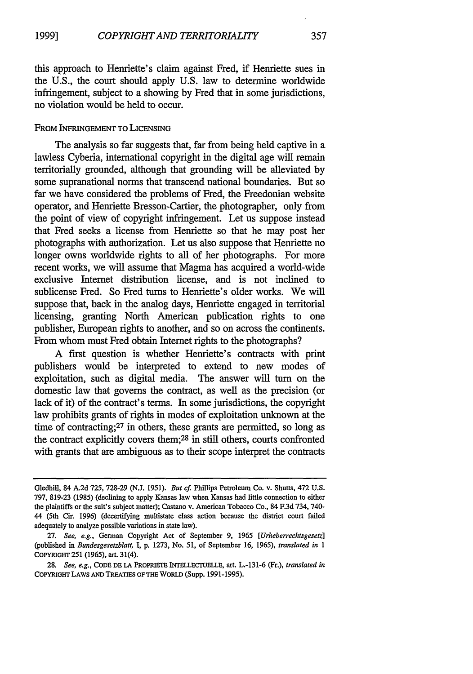this approach to Henriette's claim against Fred, if Henriette sues in the U.S., the court should apply U.S. law to determine worldwide infringement, subject to a showing by Fred that in some jurisdictions, no violation would be held to occur.

#### FROM INFRINGEMENT TO LICENsING

The analysis so far suggests that, far from being held captive in a lawless Cyberia, international copyright in the digital age will remain territorially grounded, although that grounding will be alleviated by some supranational norms that transcend national boundaries. But so far we have considered the problems of Fred, the Freedonian website operator, and Henriette Bresson-Cartier, the photographer, only from the point of view of copyright infringement. Let us suppose instead that Fred seeks a license from Henriette so that he may post her photographs with authorization. Let us also suppose that Henriette no longer owns worldwide rights to all of her photographs. For more recent works, we will assume that Magma has acquired a world-wide exclusive Internet distribution license, and is not inclined to sublicense Fred. So Fred turns to Henriette's older works. We will suppose that, back in the analog days, Henriette engaged in territorial licensing, granting North American publication rights to one publisher, European rights to another, and so on across the continents. From whom must Fred obtain Internet rights to the photographs?

A first question is whether Henriette's contracts with print publishers would be interpreted to extend to new modes of exploitation, such as digital media. The answer will turn on the domestic law that governs the contract, as well as the precision (or lack of it) of the contract's terms. In some jurisdictions, the copyright law prohibits grants of rights in modes of exploitation unknown at the time of contracting;<sup>27</sup> in others, these grants are permitted, so long as the contract explicitly covers them;28 in still others, courts confronted with grants that are ambiguous as to their scope interpret the contracts

Gledhill, 84 **A.2d 725, 728-29 (N.J. 1951).** *But cf.* Phillips Petroleum Co. v. Shutts, 472 **U.S. 797, 819-23 (1985)** (declining to apply Kansas law when Kansas had little connection to either the plaintiffs or the suit's subject matter); Castano v. American Tobacco Co., 84 **F.3d** 734, 740- 44 (5th Cir. **1996)** (decertifying multistate class action because the district court failed adequately to analyze possible variations in state law).

**<sup>27.</sup>** *See, e.g.,* German Copyright Act of September **9, 1965** *[Urheberrechtsgesetz]* (published in *Bundesgesetzblatt,* **I, p. 1273,** No. **51,** of September **16, 1965),** *translated in 1* COPYRIGHT **251 (1965),** art. 31(4).

**<sup>28.</sup>** *See, e.g.,* **CODE DE LA PROPRIETE** INTELLECTUELLE, **art. L.-131-6** (Fr.), *translated in* **COPYRIGHT LAWS AND TREATIES OF THE WORLD (Supp. 1991-1995).**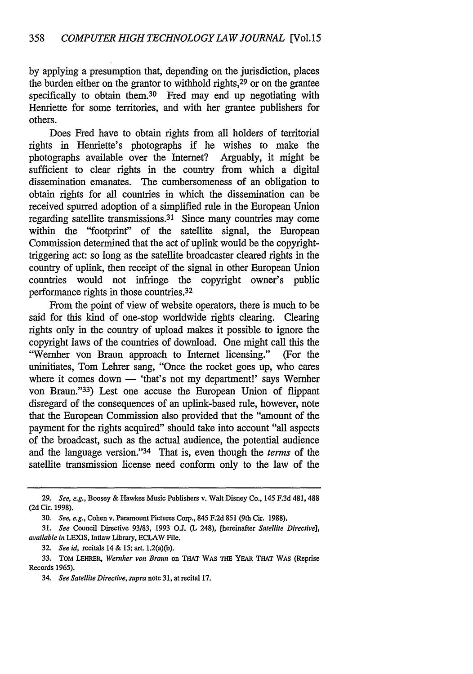by applying a presumption that, depending on the jurisdiction, places the burden either on the grantor to withhold rights,29 or on the grantee specifically to obtain them.<sup>30</sup> Fred may end up negotiating with Henriette for some territories, and with her grantee publishers for others.

Does Fred have to obtain rights from all holders of territorial rights in Henriette's photographs if he wishes to make the photographs available over the Internet? Arguably, it might be sufficient to clear rights in the country from which a digital dissemination emanates. The cumbersomeness of an obligation to obtain rights for all countries in which the dissemination can be received spurred adoption of a simplified rule in the European Union regarding satellite transmissions. 31 Since many countries may come within the "footprint" of the satellite signal, the European Commission determined that the act of uplink would be the copyrighttriggering act: so long as the satellite broadcaster cleared rights in the country of uplink, then receipt of the signal in other European Union countries would not infringe the copyright owner's public performance rights in those countries.<sup>32</sup>

From the point of view of website operators, there is much to be said for this kind of one-stop worldwide rights clearing. Clearing rights only in the country of upload makes it possible to ignore the copyright laws of the countries of download. One might call this the "Wemher von Braun approach to Internet licensing." (For the uninitiates, Tom Lehrer sang, "Once the rocket goes up, who cares where it comes down - 'that's not my department!' says Wernher von Braun."33) Lest one accuse the European Union of flippant disregard of the consequences of an uplink-based rule, however, note that the European Commission also provided that the "amount of the payment for the rights acquired" should take into account "all aspects of the broadcast, such as the actual audience, the potential audience and the language version."<sup>34</sup> That is, even though the *terms* of the satellite transmission license need conform only to the law of the

*<sup>29.</sup> See, e.g.,* Boosey **&** Hawkes Music Publishers v. Walt Disney Co., 145 **F.3d** 481,488 **(2d** Cir. **1998).**

**<sup>30.</sup>** *See, e.g.,* Cohen v. Paramount Pictures Corp., 845 **F.2d 851** (9th Cir. **1988).**

**<sup>31.</sup>** *See* Council Directive **93/83, 1993 O.J (L** 248), [hereinafter *Satellite Directive], available in* LEXIS, Intlaw Library, ECLAW File.

**<sup>32.</sup>** *See id,* recitals 14 **& 15;** art. 1.2(a)(b).

**<sup>33.</sup> TOM LEHRER,** *Wernher von Braun* **on THAT** WAS **THE** YEAR **THAT** WAS (Reprise Records **1965).**

<sup>34.</sup> *See Satellite Directive, supra* note **31,** at recital **17.**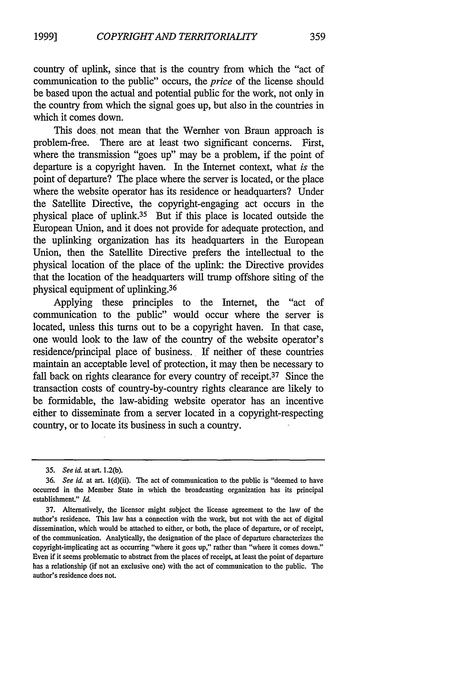country of uplink, since that is the country from which the "act of communication to the public" occurs, the *price* of the license should be based upon the actual and potential public for the work, not only in the country from which the signal goes up, but also in the countries in which it comes down.

This does not mean that the Wernher von Braun approach is problem-free. There are at least two significant concerns. First, where the transmission "goes up" may be a problem, if the point of departure is a copyright haven. In the Internet context, what *is* the point of departure? The place where the server is located, or the place where the website operator has its residence or headquarters? Under the Satellite Directive, the copyright-engaging act occurs in the physical place of uplink.35 But if this place is located outside the European Union, and it does not provide for adequate protection, and the uplinking organization has its headquarters in the European Union, then the Satellite Directive prefers the intellectual to the physical location of the place of the uplink: the Directive provides that the location of the headquarters will trump offshore siting of the physical equipment of uplinking.36

Applying these principles to the Internet, the "act of communication to the public" would occur where the server is located, unless this turns out to be a copyright haven. In that case, one would look to the law of the country of the website operator's residence/principal place of business. If neither of these countries maintain an acceptable level of protection, it may then be necessary to fall back on rights clearance for every country of receipt.<sup>37</sup> Since the transaction costs of country-by-country rights clearance are likely to be formidable, the law-abiding website operator has an incentive either to disseminate from a server located in a copyright-respecting country, or to locate its business in such a country.

*<sup>35.</sup> See id.* at art. **1.2(b).**

**<sup>36.</sup>** *See id.* at art. l(d)(ii). The act of communication to the public is "deemed to have occurred in the Member State in which the broadcasting organization has its principal establishment." *Id.*

**<sup>37.</sup>** Alternatively, the licensor might subject the license agreement to the law of the author's residence. This law has a connection with the work, but not with the act of digital dissemination, which would be attached to either, or both, the place of departure, or of receipt, of the communication. Analytically, the designation of the place of departure characterizes the copyright-implicating act as occurring "where it goes up," rather than "where it comes down." Even if it seems problematic to abstract from the places of receipt, at least the point of departure has a relationship (if not an exclusive one) with the act of communication to the public. The author's residence does not.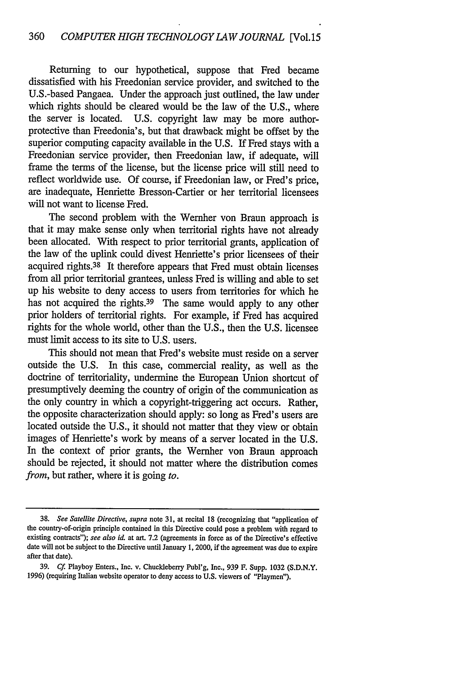Returning to our hypothetical, suppose that Fred became dissatisfied with his Freedonian service provider, and switched to the U.S.-based Pangaea. Under the approach just outlined, the law under which rights should be cleared would be the law of the U.S., where the server is located. U.S. copyright law may be more authorprotective than Freedonia's, but that drawback might be offset by the superior computing capacity available in the U.S. If Fred stays with a Freedonian service provider, then Freedonian law, if adequate, will frame the terms of the license, but the license price will still need to reflect worldwide use. Of course, if Freedonian law, or Fred's price, are inadequate, Henriette Bresson-Cartier or her territorial licensees will not want to license Fred.

The second problem with the Wernher von Braun approach is that it may make sense only when territorial rights have not already been allocated. With respect to prior territorial grants, application of the law of the uplink could divest Henriette's prior licensees of their acquired rights.38 It therefore appears that Fred must obtain licenses from all prior territorial grantees, unless Fred is willing and able to set up his website to deny access to users from territories for which he has not acquired the rights.<sup>39</sup> The same would apply to any other prior holders of territorial rights. For example, if Fred has acquired rights for the whole world, other than the U.S., then the U.S. licensee must limit access to its site to U.S. users.

This should not mean that Fred's website must reside on a server outside the U.S. In this case, commercial reality, as well as the doctrine of territoriality, undermine the European Union shortcut of presumptively deeming the country of origin of the communication as the only country in which a copyright-triggering act occurs. Rather, the opposite characterization should apply: so long as Fred's users are located outside the U.S., it should not matter that they view or obtain images of Henriette's work by means of a server located in the U.S. In the context of prior grants, the Wernher von Braun approach should be rejected, it should not matter where the distribution comes *from,* but rather, where it is going *to.*

**<sup>38.</sup>** *See Satellite Directive, supra* note **31,** at recital **18** (recognizing that "application of the country-of-origin principle contained in this Directive could pose a problem with regard to existing contracts"); *see also id.* at art. **7.2** (agreements in force as of the Directive's effective date will not be subject to the Directive until January **1,** 2000, if the agreement was due to expire after that date).

**<sup>39.</sup>** *Cf* Playboy Enters., Inc. v. Chuckleberry Publ'g, Inc., **939** F. Supp. **1032 (S.D.N.Y. 1996)** (requiring Italian website operator to deny access to **U.S.** viewers of "Playmen").